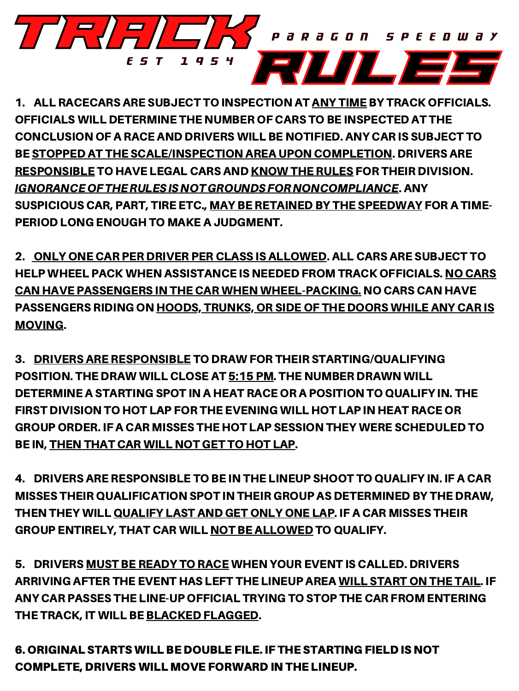1. ALL RACECARS ARE SUBJECT TO INSPECTION AT ANY TIME BY TRACK OFFICIALS. OFFICIALS WILL DETERMINE THE NUMBER OF CARS TO BE INSPECTED AT THE CONCLUSION OF A RACE AND DRIVERS WILL BE NOTIFIED. ANY CAR IS SUBJECT TO BE STOPPED AT THE SCALE/INSPECTION AREA UPON COMPLETION. DRIVERS ARE RESPONSIBLE TO HAVE LEGAL CARS AND KNOW THE RULES FOR THEIR DIVISION. IGNORANCEOFTHERULESISNOTGROUNDSFORNONCOMPLIANCE. ANY SUSPICIOUS CAR, PART, TIRE ETC., MAY BE RETAINED BY THE SPEEDWAY FOR A TIME-PERIOD LONG ENOUGH TO MAKE A JUDGMENT.

2. ONLY ONE CAR PER DRIVER PER CLASS IS ALLOWED. ALL CARS ARE SUBJECT TO HELP WHEEL PACK WHEN ASSISTANCE IS NEEDED FROM TRACK OFFICIALS. NO CARS CAN HAVE PASSENGERS IN THE CAR WHEN WHEEL-PACKING. NO CARS CAN HAVE PASSENGERS RIDING ON HOODS, TRUNKS, OR SIDE OF THE DOORS WHILE ANY CAR IS MOVING.

5. DRIVERS MUST BE READY TO RACE WHEN YOUR EVENT IS CALLED. DRIVERS ARRIVING AFTER THE EVENT HAS LEFT THE LINEUP AREA WILL START ON THE TAIL. IF ANY CAR PASSES THE LINE-UP OFFICIAL TRYING TO STOP THE CAR FROM ENTERING THE TRACK, IT WILL BE BLACKED FLAGGED.

3. DRIVERS ARE RESPONSIBLE TO DRAW FOR THEIR STARTING/QUALIFYING POSITION. THE DRAW WILL CLOSE AT 5:15 PM. THE NUMBER DRAWN WILL DETERMINE A STARTING SPOT IN A HEAT RACE OR A POSITION TO QUALIFY IN. THE FIRST DIVISION TO HOT LAP FOR THE EVENING WILL HOT LAP IN HEAT RACE OR GROUP ORDER. IF A CAR MISSES THE HOT LAP SESSION THEY WERE SCHEDULED TO BE IN, THEN THAT CAR WILL NOT GET TO HOT LAP.

4. DRIVERS ARE RESPONSIBLE TO BE IN THE LINEUP SHOOT TO QUALIFY IN. IF A CAR MISSES THEIR QUALIFICATION SPOT IN THEIR GROUP AS DETERMINED BY THE DRAW, THEN THEY WILL QUALIFY LAST AND GET ONLY ONE LAP. IF A CAR MISSES THEIR GROUP ENTIRELY, THAT CAR WILL NOT BE ALLOWED TO QUALIFY.

6. ORIGINAL STARTS WILL BE DOUBLE FILE. IF THE STARTING FIELD IS NOT COMPLETE, DRIVERS WILL MOVE FORWARD IN THE LINEUP.

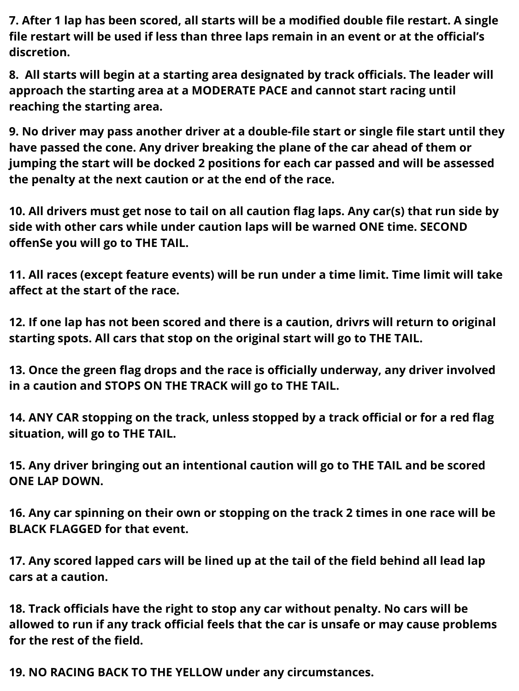**7. After 1 lap has been scored, all starts will be a modified double file restart. A single file restart will be used if less than three laps remain in an event or at the official's discretion.**

**8. All starts will begin at a starting area designated by track officials. The leader will approach the starting area at a MODERATE PACE and cannot start racing until reaching the starting area.**

**9. No driver may pass another driver at a double-file start or single file start until they have passed the cone. Any driver breaking the plane of the car ahead of them or jumping the start will be docked 2 positions for each car passed and will be assessed the penalty at the next caution or at the end of the race.**

**10. All drivers must get nose to tail on all caution flag laps. Any car(s) that run side by side with other cars while under caution laps will be warned ONE time. SECOND offenSe you will go to THE TAIL.**

**11. All races (except feature events) will be run under a time limit. Time limit will take affect at the start of the race.**

**12. If one lap has not been scored and there is a caution, drivrs will return to original starting spots. All cars that stop on the original start will go to THE TAIL.**

**13. Once the green flag drops and the race is officially underway, any driver involved in a caution and STOPS ON THE TRACK will go to THE TAIL.**

**14. ANY CAR stopping on the track, unless stopped by a track official or for a red flag situation, will go to THE TAIL.**

**15. Any driver bringing out an intentional caution will go to THE TAIL and be scored ONE LAP DOWN.**

**16. Any car spinning on their own or stopping on the track 2 times in one race will be BLACK FLAGGED for that event.**

**17. Any scored lapped cars will be lined up at the tail of the field behind all lead lap cars at a caution.**

**18. Track officials have the right to stop any car without penalty. No cars will be allowed to run if any track official feels that the car is unsafe or may cause problems for the rest of the field.**

**19. NO RACING BACK TO THE YELLOW under any circumstances.**